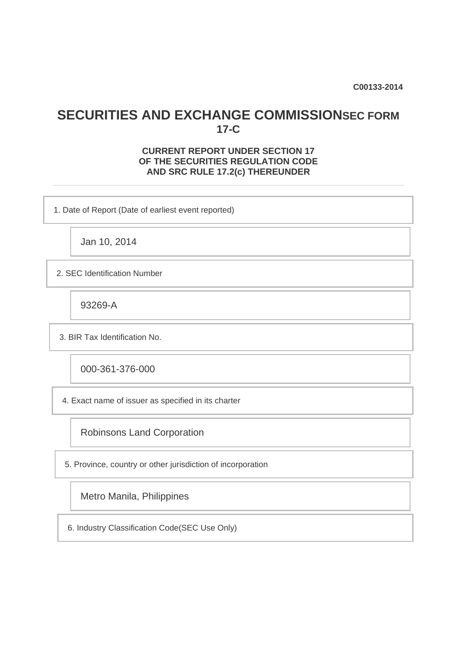**C00133-2014**

## **SECURITIES AND EXCHANGE COMMISSIONSEC FORM 17-C**

## **CURRENT REPORT UNDER SECTION 17 OF THE SECURITIES REGULATION CODE AND SRC RULE 17.2(c) THEREUNDER**

1. Date of Report (Date of earliest event reported)

Jan 10, 2014

2. SEC Identification Number

93269-A

3. BIR Tax Identification No.

000-361-376-000

4. Exact name of issuer as specified in its charter

Robinsons Land Corporation

5. Province, country or other jurisdiction of incorporation

Metro Manila, Philippines

6. Industry Classification Code(SEC Use Only)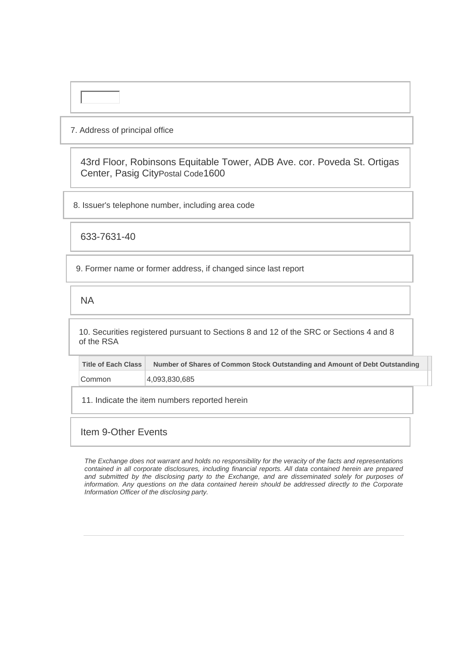### 7. Address of principal office

43rd Floor, Robinsons Equitable Tower, ADB Ave. cor. Poveda St. Ortigas Center, Pasig CityPostal Code1600

8. Issuer's telephone number, including area code

633-7631-40

9. Former name or former address, if changed since last report

NA

10. Securities registered pursuant to Sections 8 and 12 of the SRC or Sections 4 and 8 of the RSA

| Title of Each Class | Number of Shares of Common Stock Outstanding and Amount of Debt Outstanding |
|---------------------|-----------------------------------------------------------------------------|
| Common              | 4,093,830,685                                                               |

11. Indicate the item numbers reported herein

## Item 9-Other Events

*The Exchange does not warrant and holds no responsibility for the veracity of the facts and representations contained in all corporate disclosures, including financial reports. All data contained herein are prepared and submitted by the disclosing party to the Exchange, and are disseminated solely for purposes of information. Any questions on the data contained herein should be addressed directly to the Corporate Information Officer of the disclosing party.*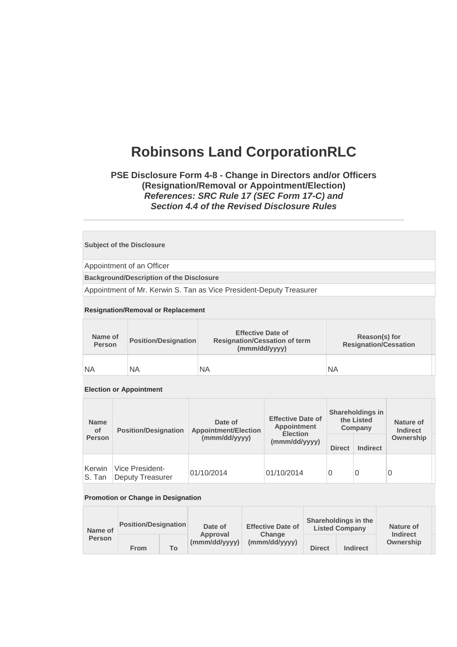# **Robinsons Land CorporationRLC**

## **PSE Disclosure Form 4-8 - Change in Directors and/or Officers (Resignation/Removal or Appointment/Election)**  *References: SRC Rule 17 (SEC Form 17-C) and Section 4.4 of the Revised Disclosure Rules*

#### **Subject of the Disclosure**

Appointment of an Officer

**Background/Description of the Disclosure**

Appointment of Mr. Kerwin S. Tan as Vice President-Deputy Treasurer

#### **Resignation/Removal or Replacement**

| Name of<br>Person | <b>Position/Designation</b> | <b>Effective Date of</b><br><b>Resignation/Cessation of term</b><br>(mmm/dd/yyyy) | Reason(s) for<br><b>Resignation/Cessation</b> |
|-------------------|-----------------------------|-----------------------------------------------------------------------------------|-----------------------------------------------|
| NA                | <b>NA</b>                   | <b>NA</b>                                                                         | ΝA                                            |

#### **Election or Appointment**

| <b>Name</b><br><b>Position/Designation</b><br>of |                                            | Date of<br><b>Appointment/Election</b> | <b>Effective Date of</b><br><b>Appointment</b><br><b>Election</b> | Shareholdings in<br>the Listed<br>Company |                 | Nature of<br><b>Indirect</b> |  |
|--------------------------------------------------|--------------------------------------------|----------------------------------------|-------------------------------------------------------------------|-------------------------------------------|-----------------|------------------------------|--|
| <b>Person</b>                                    |                                            | (mmm/dd/yyyy)                          | (mmm/dd/yyyy)                                                     | <b>Direct</b>                             | <b>Indirect</b> | Ownership                    |  |
| Kerwin<br>S. Tan                                 | Vice President-<br><b>Deputy Treasurer</b> | 01/10/2014                             | 01/10/2014                                                        | 0                                         | 0               | 0                            |  |

#### **Promotion or Change in Designation**

| Name of<br>Person | <b>Position/Designation</b> |     | Date of                   | <b>Effective Date of</b> | Shareholdings in the<br><b>Listed Company</b> |                 | Nature of                    |  |
|-------------------|-----------------------------|-----|---------------------------|--------------------------|-----------------------------------------------|-----------------|------------------------------|--|
|                   | From                        | To. | Approval<br>(mmm/dd/yyyy) | Change<br>(mmm/dd/yyyy)  | <b>Direct</b>                                 | <b>Indirect</b> | <b>Indirect</b><br>Ownership |  |